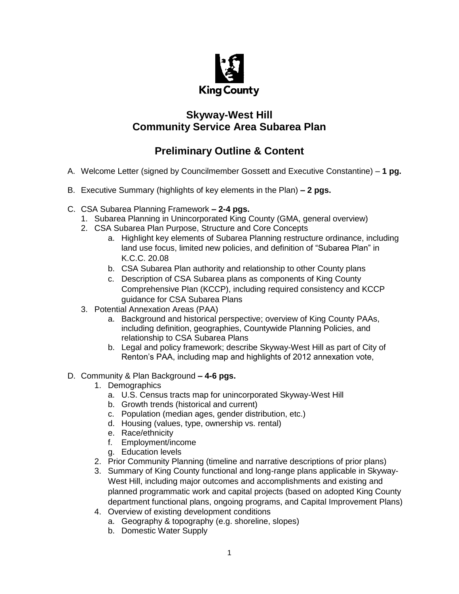

## **Skyway-West Hill Community Service Area Subarea Plan**

## **Preliminary Outline & Content**

- A. Welcome Letter (signed by Councilmember Gossett and Executive Constantine) **1 pg.**
- B. Executive Summary (highlights of key elements in the Plan) **– 2 pgs.**
- C. CSA Subarea Planning Framework **– 2-4 pgs.**
	- 1. Subarea Planning in Unincorporated King County (GMA, general overview)
	- 2. CSA Subarea Plan Purpose, Structure and Core Concepts
		- a. Highlight key elements of Subarea Planning restructure ordinance, including land use focus, limited new policies, and definition of "Subarea Plan" in K.C.C. 20.08
		- b. CSA Subarea Plan authority and relationship to other County plans
		- c. Description of CSA Subarea plans as components of King County Comprehensive Plan (KCCP), including required consistency and KCCP guidance for CSA Subarea Plans
	- 3. Potential Annexation Areas (PAA)
		- a. Background and historical perspective; overview of King County PAAs, including definition, geographies, Countywide Planning Policies, and relationship to CSA Subarea Plans
		- b. Legal and policy framework; describe Skyway-West Hill as part of City of Renton's PAA, including map and highlights of 2012 annexation vote,

## D. Community & Plan Background **– 4-6 pgs.**

- 1. Demographics
	- a. U.S. Census tracts map for unincorporated Skyway-West Hill
	- b. Growth trends (historical and current)
	- c. Population (median ages, gender distribution, etc.)
	- d. Housing (values, type, ownership vs. rental)
	- e. Race/ethnicity
	- f. Employment/income
	- g. Education levels
- 2. Prior Community Planning (timeline and narrative descriptions of prior plans)
- 3. Summary of King County functional and long-range plans applicable in Skyway-West Hill, including major outcomes and accomplishments and existing and planned programmatic work and capital projects (based on adopted King County department functional plans, ongoing programs, and Capital Improvement Plans)
- 4. Overview of existing development conditions
	- a. Geography & topography (e.g. shoreline, slopes)
	- b. Domestic Water Supply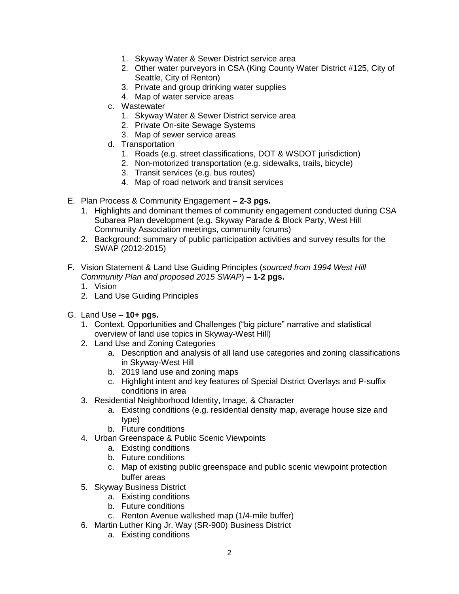- 1. Skyway Water & Sewer District service area
- 2. Other water purveyors in CSA (King County Water District #125, City of Seattle, City of Renton)
- 3. Private and group drinking water supplies
- 4. Map of water service areas
- c. Wastewater
	- 1. Skyway Water & Sewer District service area
	- 2. Private On-site Sewage Systems
	- 3. Map of sewer service areas
- d. Transportation
	- 1. Roads (e.g. street classifications, DOT & WSDOT jurisdiction)
	- 2. Non-motorized transportation (e.g. sidewalks, trails, bicycle)
	- 3. Transit services (e.g. bus routes)
	- 4. Map of road network and transit services
- E. Plan Process & Community Engagement **– 2-3 pgs.**
	- 1. Highlights and dominant themes of community engagement conducted during CSA Subarea Plan development (e.g. Skyway Parade & Block Party, West Hill Community Association meetings, community forums)
	- 2. Background: summary of public participation activities and survey results for the SWAP (2012-2015)
- F. Vision Statement & Land Use Guiding Principles (*sourced from 1994 West Hill Community Plan and proposed 2015 SWAP*) **– 1-2 pgs.**
	- 1. Vision
	- 2. Land Use Guiding Principles
- G. Land Use **10+ pgs.**
	- 1. Context, Opportunities and Challenges ("big picture" narrative and statistical overview of land use topics in Skyway-West Hill)
	- 2. Land Use and Zoning Categories
		- a. Description and analysis of all land use categories and zoning classifications in Skyway-West Hill
		- b. 2019 land use and zoning maps
		- c. Highlight intent and key features of Special District Overlays and P-suffix conditions in area
	- 3. Residential Neighborhood Identity, Image, & Character
		- a. Existing conditions (e.g. residential density map, average house size and type)
		- b. Future conditions
	- 4. Urban Greenspace & Public Scenic Viewpoints
		- a. Existing conditions
		- b. Future conditions
		- c. Map of existing public greenspace and public scenic viewpoint protection buffer areas
	- 5. Skyway Business District
		- a. Existing conditions
		- b. Future conditions
		- c. Renton Avenue walkshed map (1/4-mile buffer)
	- 6. Martin Luther King Jr. Way (SR-900) Business District
		- a. Existing conditions